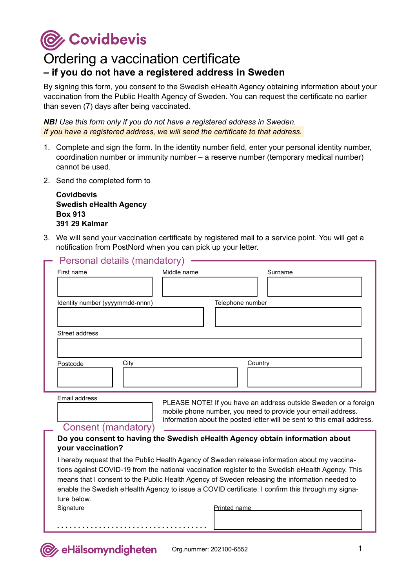**C** Covidbevis

## Ordering a vaccination certificate **– if you do not have a registered address in Sweden**

By signing this form, you consent to the Swedish eHealth Agency obtaining information about your vaccination from the Public Health Agency of Sweden. You can request the certificate no earlier than seven (7) days after being vaccinated.

*NB! Use this form only if you do not have a registered address in Sweden. If you have a registered address, we will send the certificate to that address.*

- 1. Complete and sign the form. In the identity number field, enter your personal identity number, coordination number or immunity number – a reserve number (temporary medical number) cannot be used.
- 2. Send the completed form to

**Covidbevis Swedish eHealth Agency Box 913 391 29 Kalmar**

3. We will send your vaccination certificate by registered mail to a service point. You will get a notification from PostNord when you can pick up your letter.

| Personal details (mandatory)    |             |                  |
|---------------------------------|-------------|------------------|
| First name                      | Middle name | Surname          |
|                                 |             |                  |
| Identity number (yyyymmdd-nnnn) |             | Telephone number |
|                                 |             |                  |
| Street address                  |             |                  |
|                                 |             |                  |
| City<br>Postcode                |             | Country          |
|                                 |             |                  |

Email address

PLEASE NOTE! If you have an address outside Sweden or a foreign mobile phone number, you need to provide your email address. Information about the posted letter will be sent to this email address.

## Consent (mandatory)

## **Do you consent to having the Swedish eHealth Agency obtain information about your vaccination?**

I hereby request that the Public Health Agency of Sweden release information about my vaccinations against COVID-19 from the national vaccination register to the Swedish eHealth Agency. This means that I consent to the Public Health Agency of Sweden releasing the information needed to enable the Swedish eHealth Agency to issue a COVID certificate. I confirm this through my signature below.

**Signature** 

Printed name